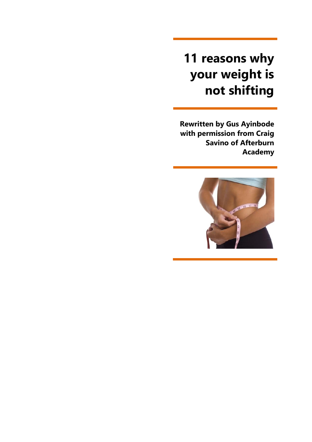# **11 reasons why your weight is not shifting**

**Rewritten by Gus Ayinbode with permission from Craig Savino of Afterburn Academy** 

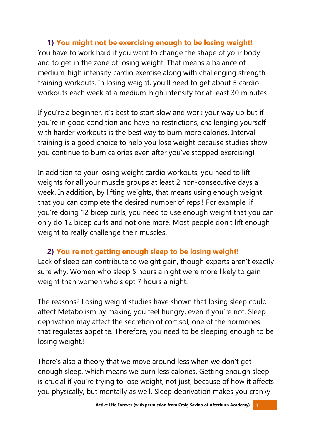**1) You might not be exercising enough to be losing weight!** You have to work hard if you want to change the shape of your body and to get in the zone of losing weight. That means a balance of medium-high intensity cardio exercise along with challenging strengthtraining workouts. In losing weight, you'll need to get about 5 cardio workouts each week at a medium-high intensity for at least 30 minutes!

If you're a beginner, it's best to start slow and work your way up but if you're in good condition and have no restrictions, challenging yourself with harder workouts is the best way to burn more calories. Interval training is a good choice to help you lose weight because studies show you continue to burn calories even after you've stopped exercising!

In addition to your losing weight cardio workouts, you need to lift weights for all your muscle groups at least 2 non-consecutive days a week. In addition, by lifting weights, that means using enough weight that you can complete the desired number of reps.! For example, if you're doing 12 bicep curls, you need to use enough weight that you can only do 12 bicep curls and not one more. Most people don't lift enough weight to really challenge their muscles!

## **2) You're not getting enough sleep to be losing weight!**

Lack of sleep can contribute to weight gain, though experts aren't exactly sure why. Women who sleep 5 hours a night were more likely to gain weight than women who slept 7 hours a night.

The reasons? Losing weight studies have shown that losing sleep could affect Metabolism by making you feel hungry, even if you're not. Sleep deprivation may affect the secretion of cortisol, one of the hormones that regulates appetite. Therefore, you need to be sleeping enough to be losing weight.!

There's also a theory that we move around less when we don't get enough sleep, which means we burn less calories. Getting enough sleep is crucial if you're trying to lose weight, not just, because of how it affects you physically, but mentally as well. Sleep deprivation makes you cranky,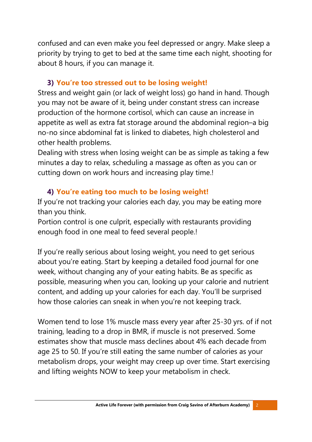confused and can even make you feel depressed or angry. Make sleep a priority by trying to get to bed at the same time each night, shooting for about 8 hours, if you can manage it.

#### **3) You're too stressed out to be losing weight!**

Stress and weight gain (or lack of weight loss) go hand in hand. Though you may not be aware of it, being under constant stress can increase production of the hormone cortisol, which can cause an increase in appetite as well as extra fat storage around the abdominal region–a big no-no since abdominal fat is linked to diabetes, high cholesterol and other health problems.

Dealing with stress when losing weight can be as simple as taking a few minutes a day to relax, scheduling a massage as often as you can or cutting down on work hours and increasing play time.!

## **4) You're eating too much to be losing weight!**

If you're not tracking your calories each day, you may be eating more than you think.

Portion control is one culprit, especially with restaurants providing enough food in one meal to feed several people.!

If you're really serious about losing weight, you need to get serious about you're eating. Start by keeping a detailed food journal for one week, without changing any of your eating habits. Be as specific as possible, measuring when you can, looking up your calorie and nutrient content, and adding up your calories for each day. You'll be surprised how those calories can sneak in when you're not keeping track.

Women tend to lose 1% muscle mass every year after 25-30 yrs. of if not training, leading to a drop in BMR, if muscle is not preserved. Some estimates show that muscle mass declines about 4% each decade from age 25 to 50. If you're still eating the same number of calories as your metabolism drops, your weight may creep up over time. Start exercising and lifting weights NOW to keep your metabolism in check.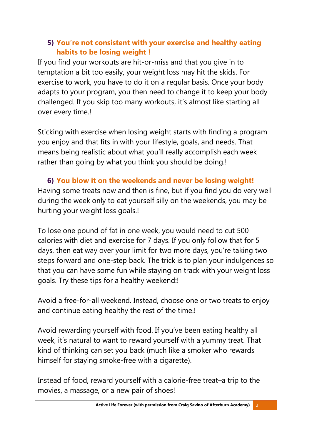## **5) You're not consistent with your exercise and healthy eating habits to be losing weight !**

If you find your workouts are hit-or-miss and that you give in to temptation a bit too easily, your weight loss may hit the skids. For exercise to work, you have to do it on a regular basis. Once your body adapts to your program, you then need to change it to keep your body challenged. If you skip too many workouts, it's almost like starting all over every time.!

Sticking with exercise when losing weight starts with finding a program you enjoy and that fits in with your lifestyle, goals, and needs. That means being realistic about what you'll really accomplish each week rather than going by what you think you should be doing.!

**6) You blow it on the weekends and never be losing weight!** Having some treats now and then is fine, but if you find you do very well during the week only to eat yourself silly on the weekends, you may be hurting your weight loss goals.!

To lose one pound of fat in one week, you would need to cut 500 calories with diet and exercise for 7 days. If you only follow that for 5 days, then eat way over your limit for two more days, you're taking two steps forward and one-step back. The trick is to plan your indulgences so that you can have some fun while staying on track with your weight loss goals. Try these tips for a healthy weekend:!

Avoid a free-for-all weekend. Instead, choose one or two treats to enjoy and continue eating healthy the rest of the time.!

Avoid rewarding yourself with food. If you've been eating healthy all week, it's natural to want to reward yourself with a yummy treat. That kind of thinking can set you back (much like a smoker who rewards himself for staying smoke-free with a cigarette).

Instead of food, reward yourself with a calorie-free treat–a trip to the movies, a massage, or a new pair of shoes!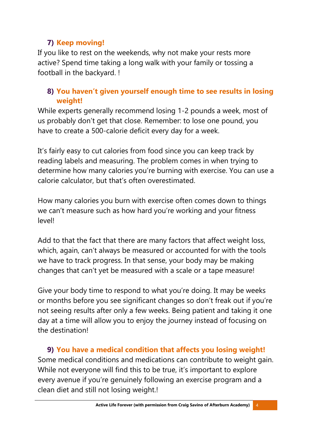## **7) Keep moving!**

If you like to rest on the weekends, why not make your rests more active? Spend time taking a long walk with your family or tossing a football in the backyard. !

## **8) You haven't given yourself enough time to see results in losing weight!**

While experts generally recommend losing 1-2 pounds a week, most of us probably don't get that close. Remember: to lose one pound, you have to create a 500-calorie deficit every day for a week.

It's fairly easy to cut calories from food since you can keep track by reading labels and measuring. The problem comes in when trying to determine how many calories you're burning with exercise. You can use a calorie calculator, but that's often overestimated.

How many calories you burn with exercise often comes down to things we can't measure such as how hard you're working and your fitness level!

Add to that the fact that there are many factors that affect weight loss, which, again, can't always be measured or accounted for with the tools we have to track progress. In that sense, your body may be making changes that can't yet be measured with a scale or a tape measure!

Give your body time to respond to what you're doing. It may be weeks or months before you see significant changes so don't freak out if you're not seeing results after only a few weeks. Being patient and taking it one day at a time will allow you to enjoy the journey instead of focusing on the destination!

**9) You have a medical condition that affects you losing weight!** Some medical conditions and medications can contribute to weight gain. While not everyone will find this to be true, it's important to explore every avenue if you're genuinely following an exercise program and a clean diet and still not losing weight.!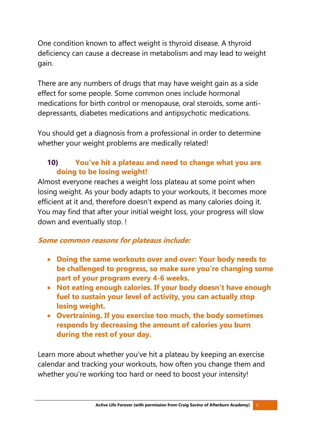One condition known to affect weight is thyroid disease. A thyroid deficiency can cause a decrease in metabolism and may lead to weight gain.

There are any numbers of drugs that may have weight gain as a side effect for some people. Some common ones include hormonal medications for birth control or menopause, oral steroids, some antidepressants, diabetes medications and antipsychotic medications.

You should get a diagnosis from a professional in order to determine whether your weight problems are medically related!

## **10) You've hit a plateau and need to change what you are doing to be losing weight!**

Almost everyone reaches a weight loss plateau at some point when losing weight. As your body adapts to your workouts, it becomes more efficient at it and, therefore doesn't expend as many calories doing it. You may find that after your initial weight loss, your progress will slow down and eventually stop. !

## **Some common reasons for plateaus include:**

- **Doing the same workouts over and over: Your body needs to be challenged to progress, so make sure you're changing some part of your program every 4-6 weeks.**
- **Not eating enough calories. If your body doesn't have enough fuel to sustain your level of activity, you can actually stop losing weight.**
- **Overtraining. If you exercise too much, the body sometimes responds by decreasing the amount of calories you burn during the rest of your day.**

Learn more about whether you've hit a plateau by keeping an exercise calendar and tracking your workouts, how often you change them and whether you're working too hard or need to boost your intensity!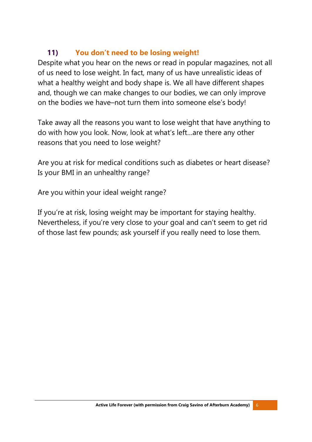## **11) You don't need to be losing weight!**

Despite what you hear on the news or read in popular magazines, not all of us need to lose weight. In fact, many of us have unrealistic ideas of what a healthy weight and body shape is. We all have different shapes and, though we can make changes to our bodies, we can only improve on the bodies we have–not turn them into someone else's body!

Take away all the reasons you want to lose weight that have anything to do with how you look. Now, look at what's left…are there any other reasons that you need to lose weight?

Are you at risk for medical conditions such as diabetes or heart disease? Is your BMI in an unhealthy range?

Are you within your ideal weight range?

If you're at risk, losing weight may be important for staying healthy. Nevertheless, if you're very close to your goal and can't seem to get rid of those last few pounds; ask yourself if you really need to lose them.